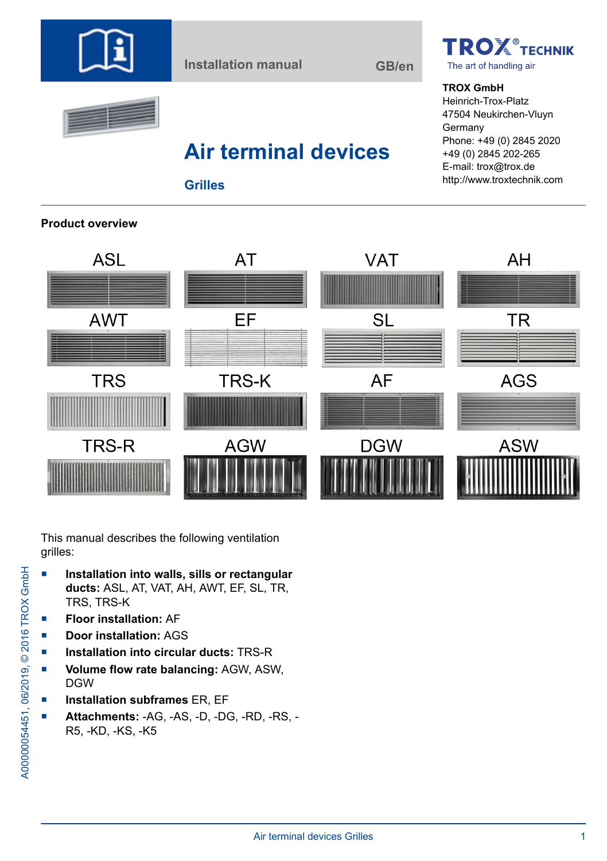

**Installation manual GB/en**

## **TROX**<sup>®</sup>TECHNIK The art of handling air

## **TROX GmbH**

Heinrich-Trox-Platz 47504 Neukirchen-Vluyn Germany Phone: +49 (0) 2845 2020 +49 (0) 2845 202-265 E-mail: trox@trox.de http://www.troxtechnik.com



# **Air terminal devices**

**Grilles**

## **Product overview**



This manual describes the following ventilation grilles:

- **Installation into walls, sills or rectangular ducts:** ASL, AT, VAT, AH, AWT, EF, SL, TR, TRS, TRS-K
- **Floor installation: AF**
- **Door installation: AGS**
- **Installation into circular ducts:** TRS-R
- **Volume flow rate balancing: AGW, ASW, DGW**
- **Installation subframes** ER, EF
- **Attachments:** -AG, -AS, -D, -DG, -RD, -RS, R5, -KD, -KS, -K5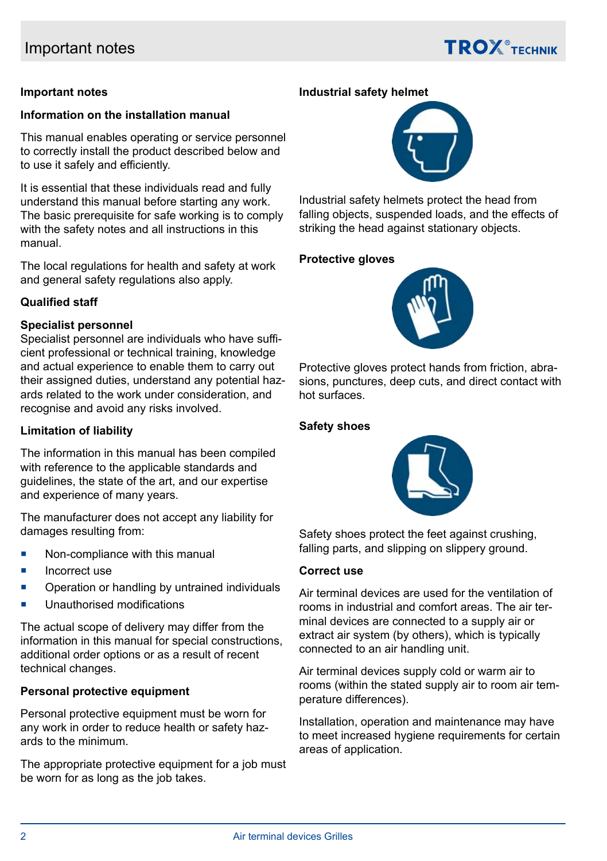

#### **Important notes**

## **Information on the installation manual**

This manual enables operating or service personnel to correctly install the product described below and to use it safely and efficiently.

It is essential that these individuals read and fully understand this manual before starting any work. The basic prerequisite for safe working is to comply with the safety notes and all instructions in this manual.

The local regulations for health and safety at work and general safety regulations also apply.

#### **Qualified staff**

#### **Specialist personnel**

Specialist personnel are individuals who have sufficient professional or technical training, knowledge and actual experience to enable them to carry out their assigned duties, understand any potential hazards related to the work under consideration, and recognise and avoid any risks involved.

#### **Limitation of liability**

The information in this manual has been compiled with reference to the applicable standards and guidelines, the state of the art, and our expertise and experience of many years.

The manufacturer does not accept any liability for damages resulting from:

- Non-compliance with this manual
- Incorrect use
- Operation or handling by untrained individuals
- Unauthorised modifications

The actual scope of delivery may differ from the information in this manual for special constructions, additional order options or as a result of recent technical changes.

#### **Personal protective equipment**

Personal protective equipment must be worn for any work in order to reduce health or safety hazards to the minimum.

The appropriate protective equipment for a job must be worn for as long as the job takes.

#### **Industrial safety helmet**



Industrial safety helmets protect the head from falling objects, suspended loads, and the effects of striking the head against stationary objects.

#### **Protective gloves**



Protective gloves protect hands from friction, abrasions, punctures, deep cuts, and direct contact with hot surfaces.

#### **Safety shoes**



Safety shoes protect the feet against crushing, falling parts, and slipping on slippery ground.

#### **Correct use**

Air terminal devices are used for the ventilation of rooms in industrial and comfort areas. The air terminal devices are connected to a supply air or extract air system (by others), which is typically connected to an air handling unit.

Air terminal devices supply cold or warm air to rooms (within the stated supply air to room air temperature differences).

Installation, operation and maintenance may have to meet increased hygiene requirements for certain areas of application.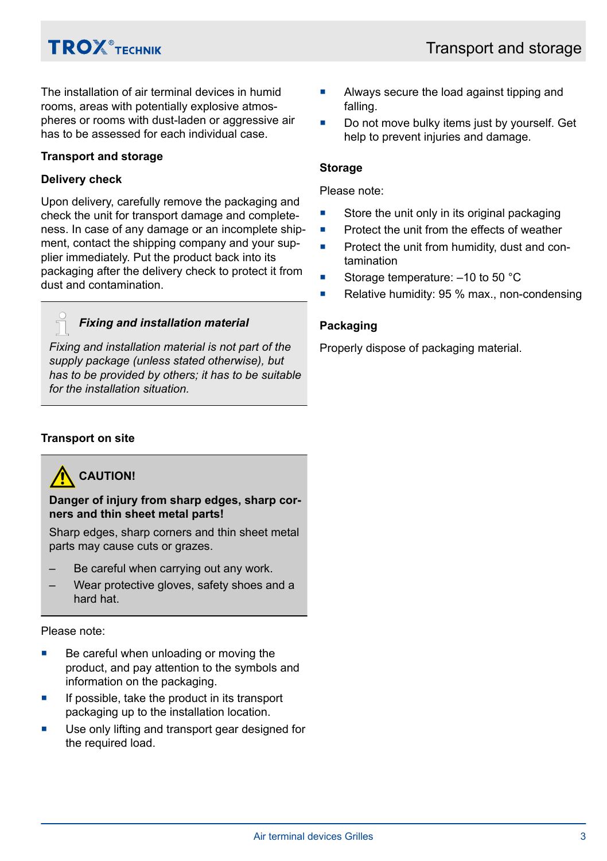The installation of air terminal devices in humid rooms, areas with potentially explosive atmospheres or rooms with dust-laden or aggressive air has to be assessed for each individual case.

#### **Transport and storage**

**TROX**<sup>®</sup>TECHNIK

#### **Delivery check**

Upon delivery, carefully remove the packaging and check the unit for transport damage and completeness. In case of any damage or an incomplete shipment, contact the shipping company and your supplier immediately. Put the product back into its packaging after the delivery check to protect it from dust and contamination.

## *Fixing and installation material*

*Fixing and installation material is not part of the supply package (unless stated otherwise), but has to be provided by others; it has to be suitable for the installation situation.*

#### **Transport on site**

 **CAUTION!**

#### **Danger of injury from sharp edges, sharp corners and thin sheet metal parts!**

Sharp edges, sharp corners and thin sheet metal parts may cause cuts or grazes.

- Be careful when carrying out any work.
- Wear protective gloves, safety shoes and a hard hat.

#### Please note:

- Be careful when unloading or moving the product, and pay attention to the symbols and information on the packaging.
- $\blacksquare$  If possible, take the product in its transport packaging up to the installation location.
- Use only lifting and transport gear designed for the required load.
- Always secure the load against tipping and falling.
- Do not move bulky items just by yourself. Get help to prevent injuries and damage.

#### **Storage**

Please note:

- Store the unit only in its original packaging
- Protect the unit from the effects of weather
- **Protect the unit from humidity, dust and con**tamination
- Storage temperature:  $-10$  to 50 °C
- Relative humidity: 95 % max., non-condensing

#### **Packaging**

Properly dispose of packaging material.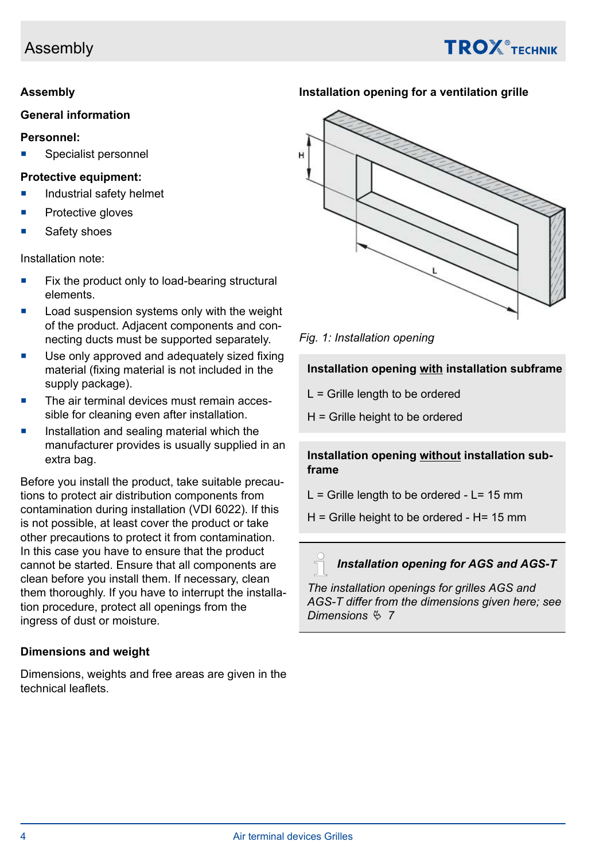

#### **Assembly**

## **General information**

#### **Personnel:**

Specialist personnel

#### **Protective equipment:**

- Industrial safety helmet
- Protective gloves
- Safety shoes

#### Installation note:

- Fix the product only to load-bearing structural elements.
- Load suspension systems only with the weight of the product. Adjacent components and connecting ducts must be supported separately.
- Use only approved and adequately sized fixing material (fixing material is not included in the supply package).
- The air terminal devices must remain accessible for cleaning even after installation.
- Installation and sealing material which the manufacturer provides is usually supplied in an extra bag.

Before you install the product, take suitable precautions to protect air distribution components from contamination during installation (VDI 6022). If this is not possible, at least cover the product or take other precautions to protect it from contamination. In this case you have to ensure that the product cannot be started. Ensure that all components are clean before you install them. If necessary, clean them thoroughly. If you have to interrupt the installation procedure, protect all openings from the ingress of dust or moisture.

#### **Dimensions and weight**

Dimensions, weights and free areas are given in the technical leaflets.

#### **Installation opening for a ventilation grille**



*Fig. 1: Installation opening*

#### **Installation opening with installation subframe**

- $L =$  Grille length to be ordered
- H = Grille height to be ordered

#### **Installation opening without installation subframe**

- $L =$  Grille length to be ordered  $L = 15$  mm
- H = Grille height to be ordered H= 15 mm

## *Installation opening for AGS and AGS-T*

*The installation openings for grilles AGS and AGS-T differ from the dimensions given here; see Dimensions* Ä *[7](#page-6-0)*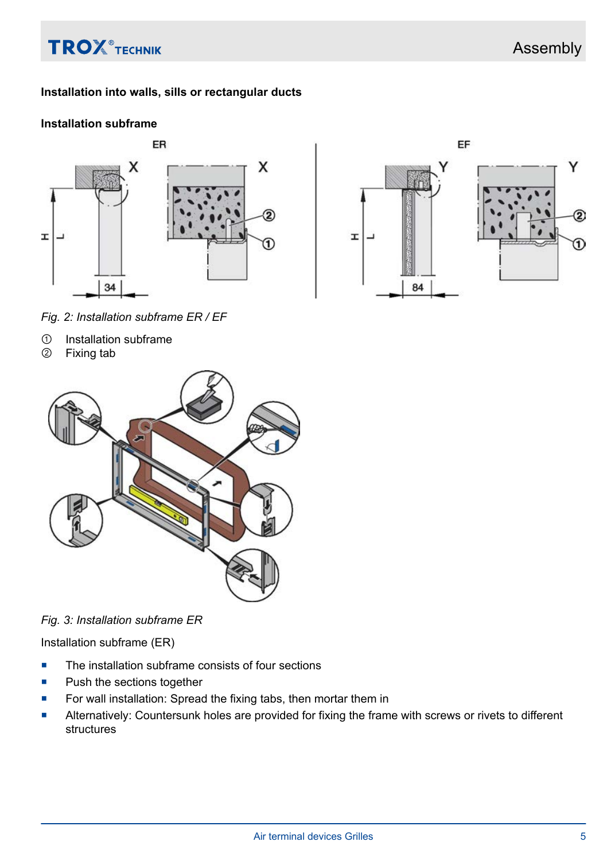## **Installation into walls, sills or rectangular ducts**

#### **Installation subframe**

**TROX**<sup>®</sup>TECHNIK



*Fig. 2: Installation subframe ER / EF*

- ① Installation subframe
- **Fixing tab**



*Fig. 3: Installation subframe ER*

Installation subframe (ER)

- The installation subframe consists of four sections
- **Push the sections together**
- **For wall installation: Spread the fixing tabs, then mortar them in**
- Alternatively: Countersunk holes are provided for fixing the frame with screws or rivets to different structures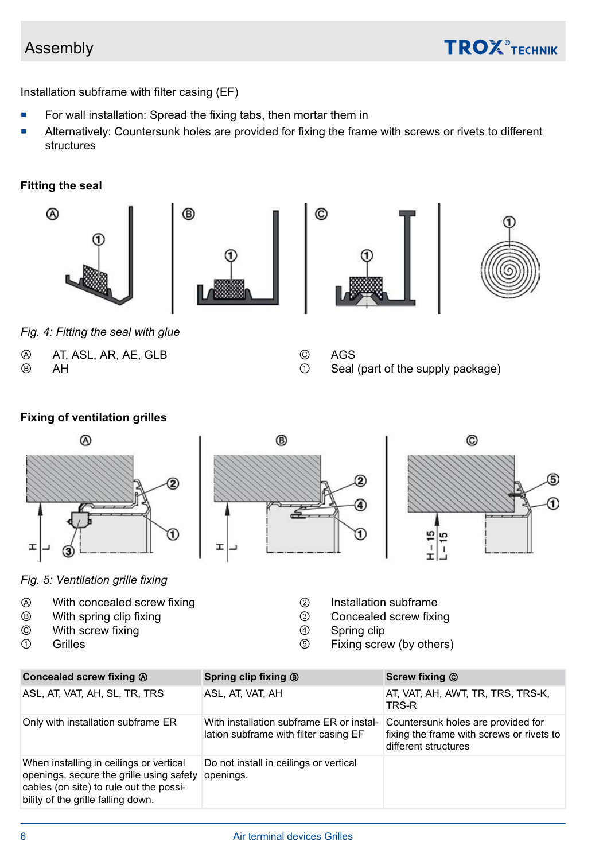**TROX**<sup>®</sup>TECHNIK

Installation subframe with filter casing (EF)

- For wall installation: Spread the fixing tabs, then mortar them in
- **Alternatively: Countersunk holes are provided for fixing the frame with screws or rivets to different** structures

#### **Fitting the seal**









*Fig. 4: Fitting the seal with glue*

| $\circledR$ | AT, ASL, AR, AE, GLB |
|-------------|----------------------|
| (B)         | AΗ                   |

© AGS<br>① Seal Seal (part of the supply package)

## **Fixing of ventilation grilles**



*Fig. 5: Ventilation grille fixing*

- Ⓐ With concealed screw fixing
- Ⓑ With spring clip fixing
- Ⓒ With screw fixing
- ① Grilles
- ② Installation subframe
- ③ Concealed screw fixing
- ④ Spring clip
- ⑤ Fixing screw (by others)

| Concealed screw fixing @                                                                                                                                             | Spring clip fixing <sup>®</sup>                                                   | Screw fixing ©                                                                                          |
|----------------------------------------------------------------------------------------------------------------------------------------------------------------------|-----------------------------------------------------------------------------------|---------------------------------------------------------------------------------------------------------|
| ASL, AT, VAT, AH, SL, TR, TRS                                                                                                                                        | ASL, AT, VAT, AH                                                                  | AT, VAT, AH, AWT, TR, TRS, TRS-K,<br>TRS-R                                                              |
| Only with installation subframe ER                                                                                                                                   | With installation subframe ER or instal-<br>lation subframe with filter casing EF | Countersunk holes are provided for<br>fixing the frame with screws or rivets to<br>different structures |
| When installing in ceilings or vertical<br>openings, secure the grille using safety<br>cables (on site) to rule out the possi-<br>bility of the grille falling down. | Do not install in ceilings or vertical<br>openings.                               |                                                                                                         |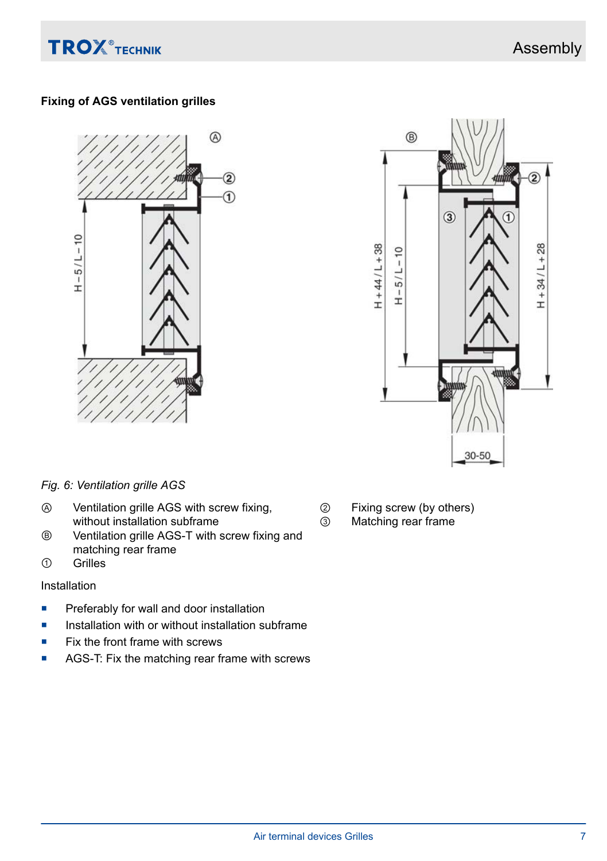<span id="page-6-0"></span>

## **Fixing of AGS ventilation grilles**





## *Fig. 6: Ventilation grille AGS*

- Ⓐ Ventilation grille AGS with screw fixing, without installation subframe
- Ⓑ Ventilation grille AGS-T with screw fixing and matching rear frame
- ① Grilles

#### Installation

- **Preferably for wall and door installation**
- $\blacksquare$  Installation with or without installation subframe
- $\blacksquare$  Fix the front frame with screws
- AGS-T: Fix the matching rear frame with screws
- **②** Fixing screw (by others)<br>③ Matching rear frame
	- Matching rear frame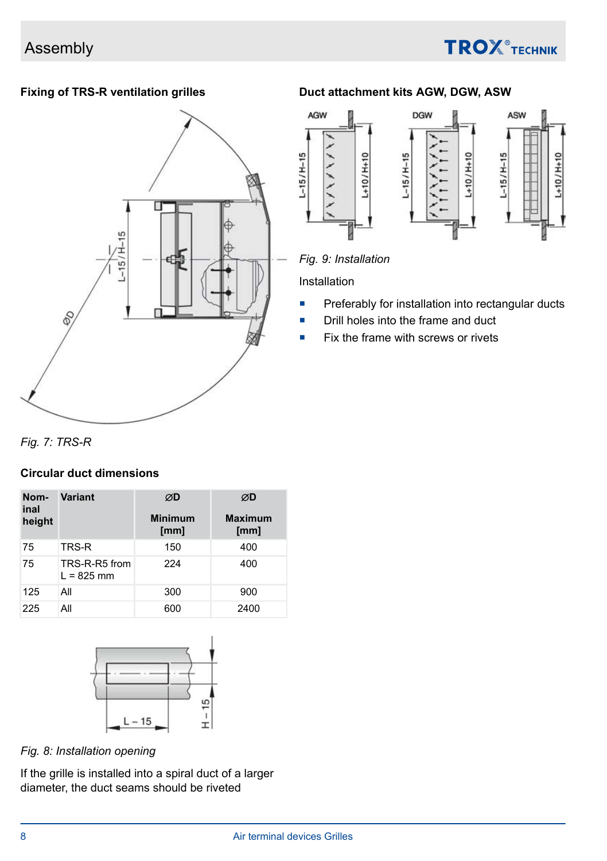

## **Fixing of TRS-R ventilation grilles**



## **Duct attachment kits AGW, DGW, ASW**



## *Fig. 9: Installation*

Installation

- **Preferably for installation into rectangular ducts**
- **Drill holes into the frame and duct**
- $\blacksquare$  Fix the frame with screws or rivets

*Fig. 7: TRS-R*

## **Circular duct dimensions**

| Nom-<br>inal<br>height | Variant                       | ØD<br><b>Minimum</b><br>[mm] | ØD<br><b>Maximum</b><br>[mm] |
|------------------------|-------------------------------|------------------------------|------------------------------|
| 75                     | TRS-R                         | 150                          | 400                          |
| 75                     | TRS-R-R5 from<br>$L = 825$ mm | 224                          | 400                          |
| 125                    | All                           | 300                          | 900                          |
| 225                    | All                           | 600                          | 2400                         |



*Fig. 8: Installation opening*

If the grille is installed into a spiral duct of a larger diameter, the duct seams should be riveted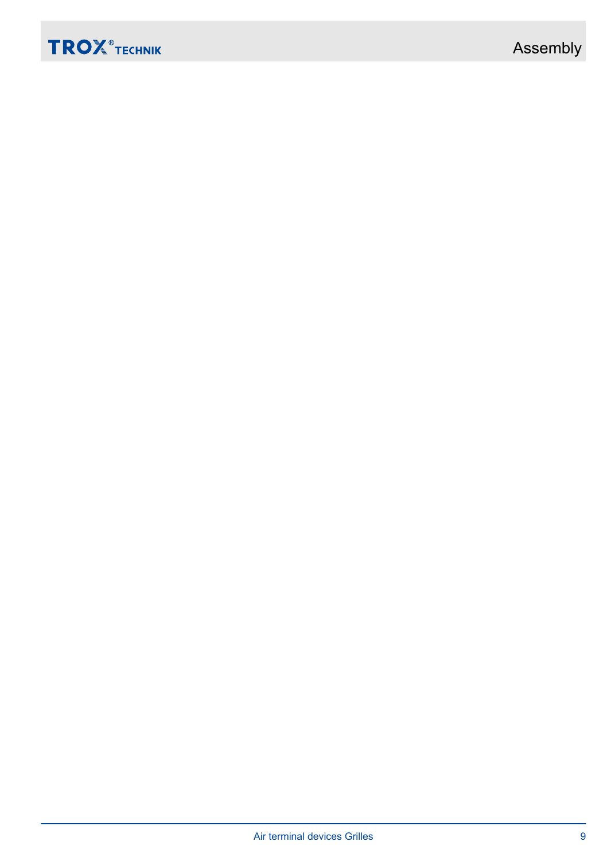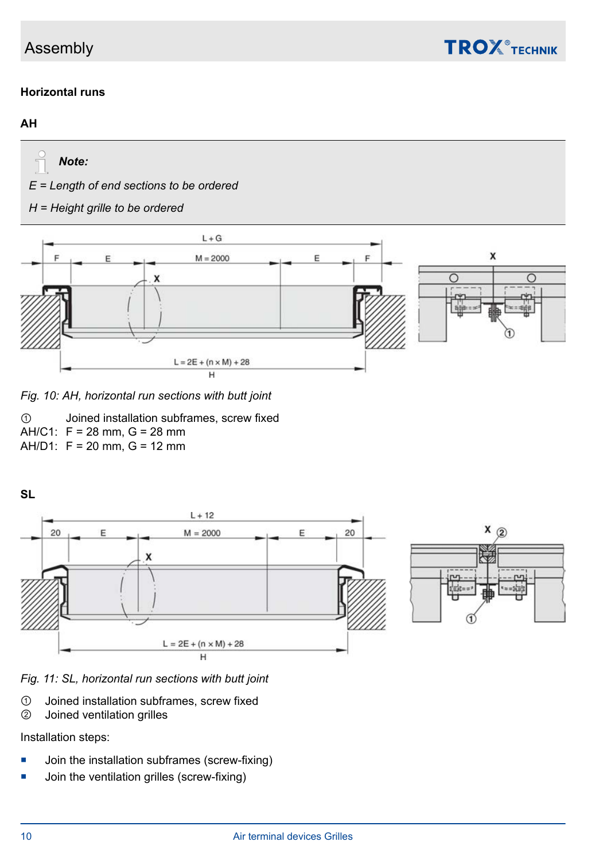**TROX**<sup>®</sup>TECHNIK

## **Horizontal runs**

## **AH**



*Fig. 10: AH, horizontal run sections with butt joint*

① Joined installation subframes, screw fixed AH/C1:  $F = 28$  mm,  $G = 28$  mm AH/D1: F = 20 mm, G = 12 mm

**SL**



*Fig. 11: SL, horizontal run sections with butt joint*

- ① Joined installation subframes, screw fixed
- ② Joined ventilation grilles

Installation steps:

- Join the installation subframes (screw-fixing)
- **Join the ventilation grilles (screw-fixing)**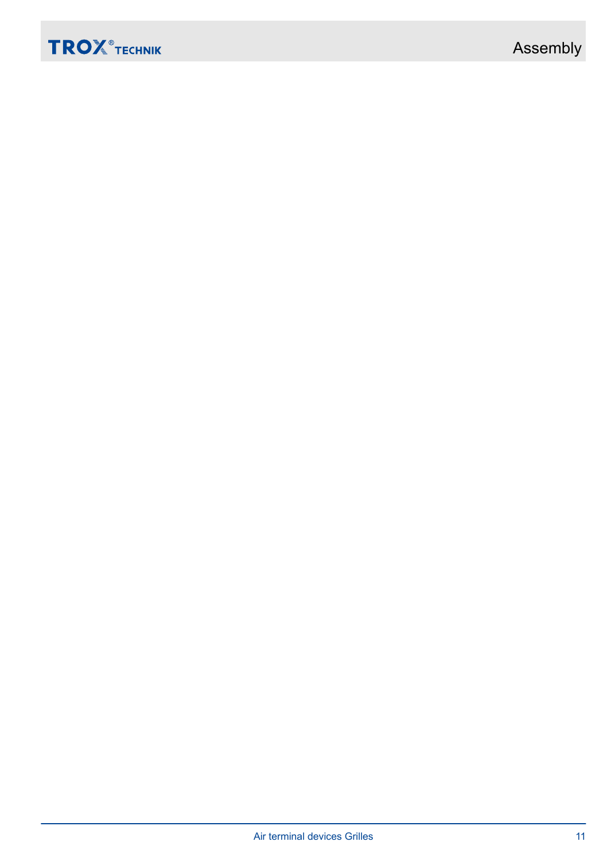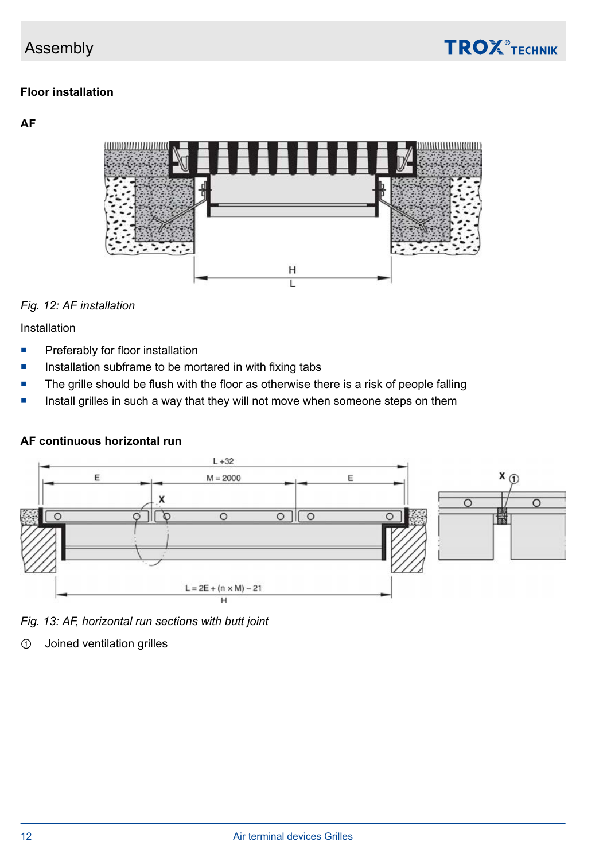



## **Floor installation**

#### **AF**



#### *Fig. 12: AF installation*

## Installation

- Preferably for floor installation
- **Installation subframe to be mortared in with fixing tabs**
- The grille should be flush with the floor as otherwise there is a risk of people falling
- Install grilles in such a way that they will not move when someone steps on them

## **AF continuous horizontal run**



- *Fig. 13: AF, horizontal run sections with butt joint*
- ① Joined ventilation grilles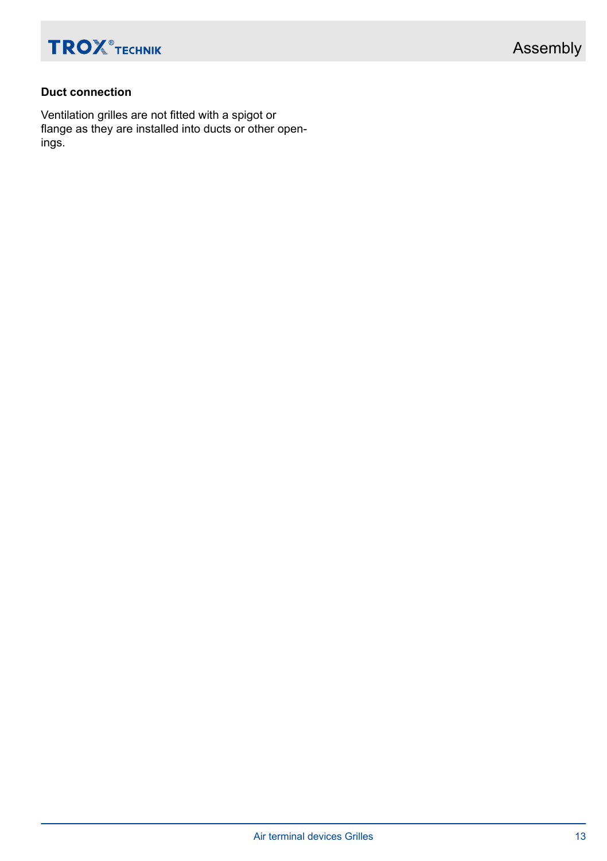

#### **Duct connection**

Ventilation grilles are not fitted with a spigot or flange as they are installed into ducts or other openings.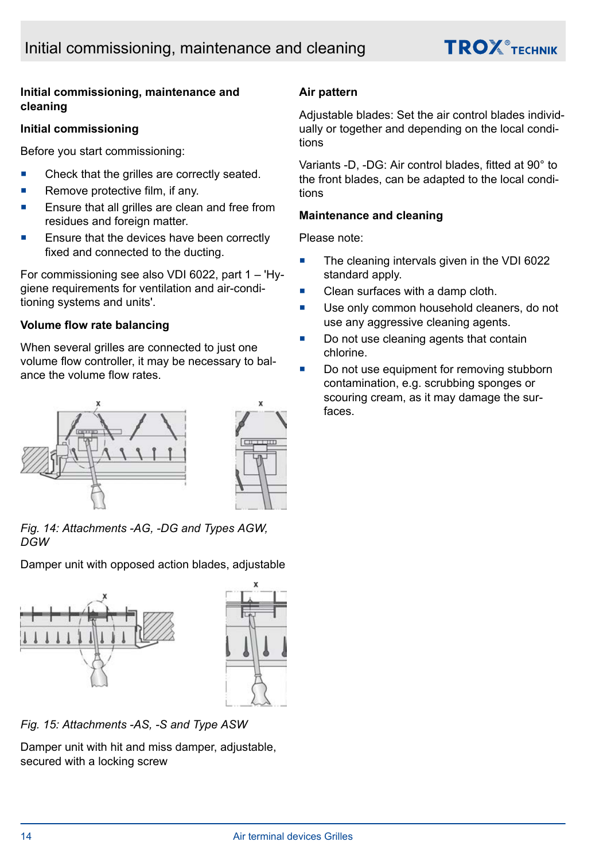# **TROX**<sup>®</sup>TECHNIK

### **Initial commissioning, maintenance and cleaning**

#### **Initial commissioning**

Before you start commissioning:

- Check that the grilles are correctly seated.
- Remove protective film, if any.
- Ensure that all grilles are clean and free from residues and foreign matter.
- Ensure that the devices have been correctly fixed and connected to the ducting.

For commissioning see also VDI 6022, part 1 – 'Hygiene requirements for ventilation and air-conditioning systems and units'.

#### **Volume flow rate balancing**

When several grilles are connected to just one volume flow controller, it may be necessary to balance the volume flow rates.



*Fig. 14: Attachments -AG, -DG and Types AGW, DGW*

Damper unit with opposed action blades, adjustable





*Fig. 15: Attachments -AS, -S and Type ASW*

Damper unit with hit and miss damper, adjustable, secured with a locking screw

#### **Air pattern**

Adjustable blades: Set the air control blades individually or together and depending on the local conditions

Variants -D, -DG: Air control blades, fitted at 90° to the front blades, can be adapted to the local conditions

#### **Maintenance and cleaning**

Please note:

- The cleaning intervals given in the VDI 6022 standard apply.
- Clean surfaces with a damp cloth.
- **Use only common household cleaners, do not** use any aggressive cleaning agents.
- Do not use cleaning agents that contain chlorine.
- Do not use equipment for removing stubborn contamination, e.g. scrubbing sponges or scouring cream, as it may damage the surfaces.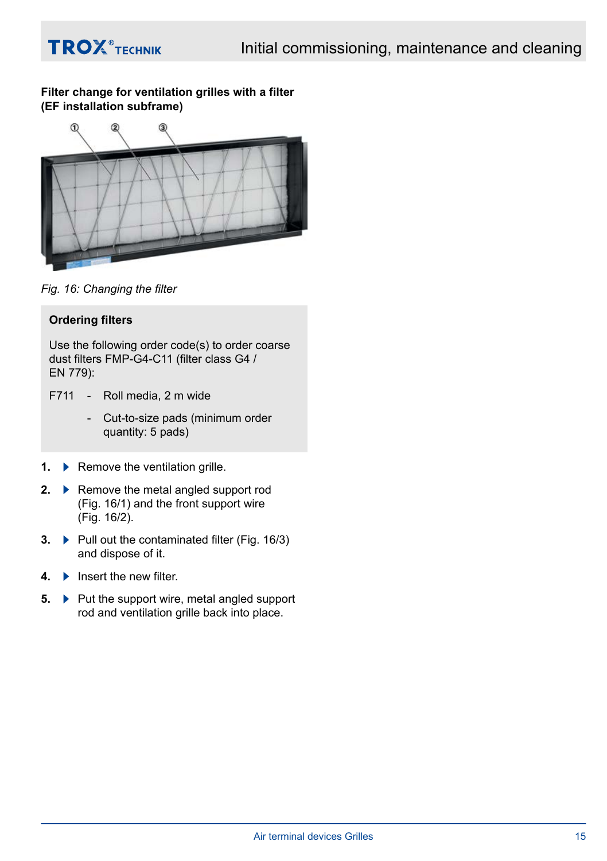

## **Filter change for ventilation grilles with a filter (EF installation subframe)**



*Fig. 16: Changing the filter*

## **Ordering filters**

Use the following order code(s) to order coarse dust filters FMP-G4-C11 (filter class G4 / EN 779):

- F711 Roll media, 2 m wide
	- Cut-to-size pads (minimum order quantity: 5 pads)
- **1. ▶ Remove the ventilation grille.**
- **2. ▶ Remove the metal angled support rod** (Fig. 16/1) and the front support wire (Fig. 16/2).
- **3. ▶ Pull out the contaminated filter (Fig. 16/3)** and dispose of it.
- **4.** ▶ Insert the new filter
- **5. ▶ Put the support wire, metal angled support** rod and ventilation grille back into place.